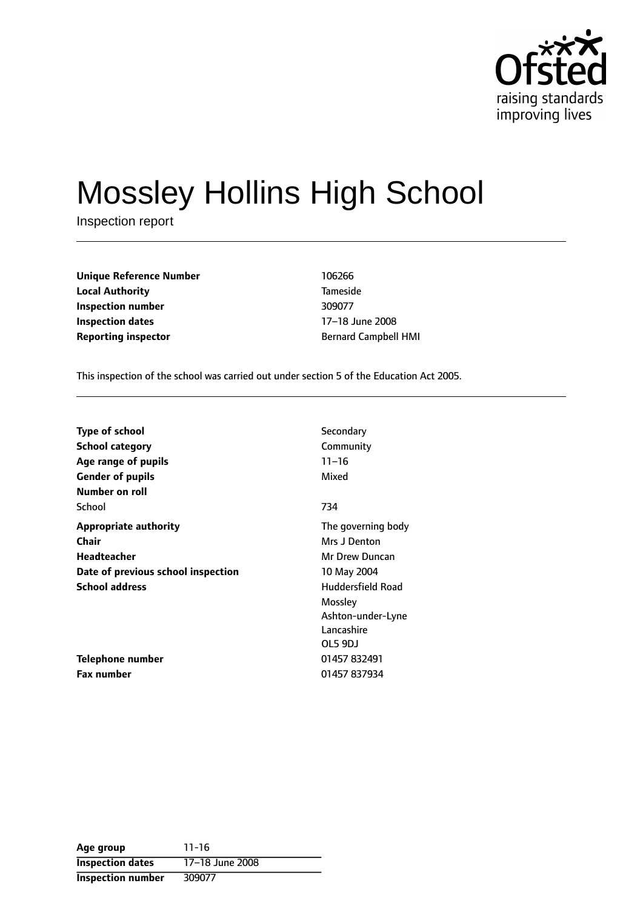

# Mossley Hollins High School

Inspection report

| <b>Unique Reference Number</b> | 106266         |
|--------------------------------|----------------|
| <b>Local Authority</b>         | <b>Tamesio</b> |
| Inspection number              | 309077         |
| <b>Inspection dates</b>        | $17 - 18$ .    |
| <b>Reporting inspector</b>     | Bernard        |

**Local Authority** Tameside **Inspection number** 309077 **17-18 June 2008 Reporting inspector Reporting inspector Bernard Campbell HMI** 

This inspection of the school was carried out under section 5 of the Education Act 2005.

| <b>Type of school</b>              | Secondary          |
|------------------------------------|--------------------|
|                                    |                    |
| <b>School category</b>             | Community          |
| Age range of pupils                | $11 - 16$          |
| <b>Gender of pupils</b>            | Mixed              |
| <b>Number on roll</b>              |                    |
| School                             | 734                |
| <b>Appropriate authority</b>       | The governing body |
| <b>Chair</b>                       | Mrs J Denton       |
| Headteacher                        | Mr Drew Duncan     |
| Date of previous school inspection | 10 May 2004        |
| <b>School address</b>              | Huddersfield Road  |
|                                    | Mossley            |
|                                    | Ashton-under-Lyne  |
|                                    | Lancashire         |
|                                    | OL5 9DJ            |
| Telephone number                   | 01457 832491       |
| Fax number                         | 01457 837934       |

| Age group               | $11 - 16$       |
|-------------------------|-----------------|
| <b>Inspection dates</b> | 17-18 June 2008 |
| Inspection number       | 309077          |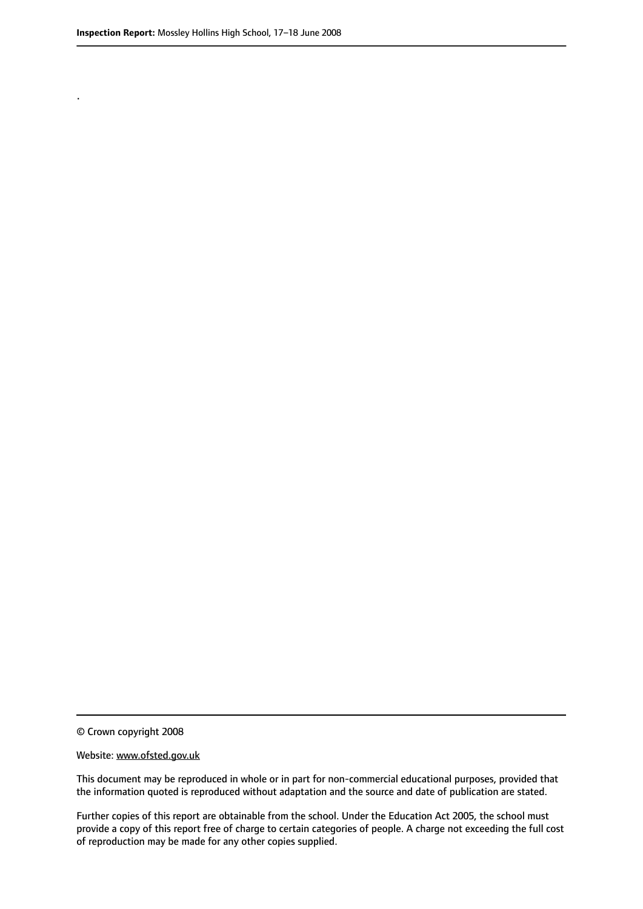.

© Crown copyright 2008

#### Website: www.ofsted.gov.uk

This document may be reproduced in whole or in part for non-commercial educational purposes, provided that the information quoted is reproduced without adaptation and the source and date of publication are stated.

Further copies of this report are obtainable from the school. Under the Education Act 2005, the school must provide a copy of this report free of charge to certain categories of people. A charge not exceeding the full cost of reproduction may be made for any other copies supplied.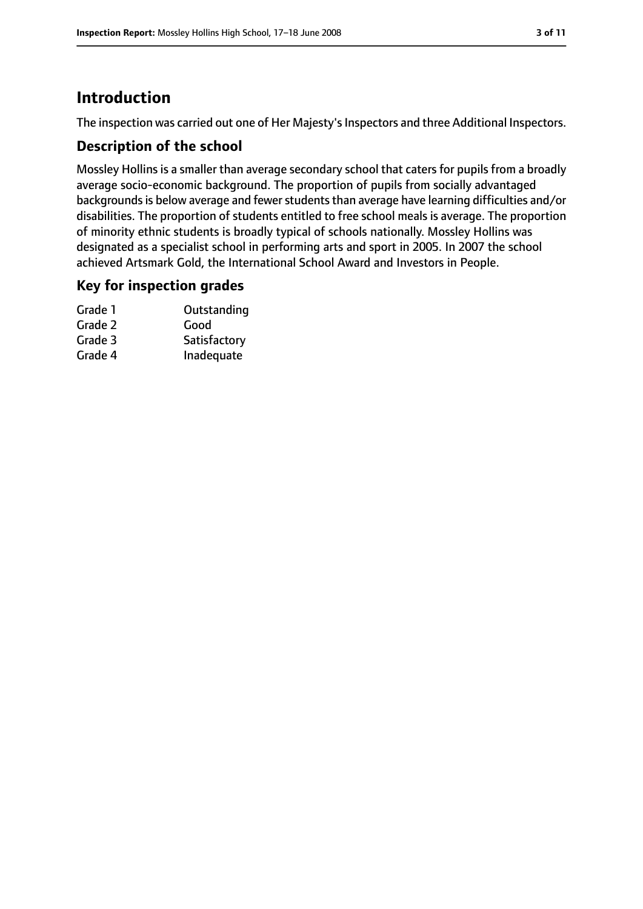# **Introduction**

The inspection was carried out one of Her Majesty's Inspectors and three Additional Inspectors.

## **Description of the school**

Mossley Hollins is a smaller than average secondary school that caters for pupils from a broadly average socio-economic background. The proportion of pupils from socially advantaged backgrounds is below average and fewer students than average have learning difficulties and/or disabilities. The proportion of students entitled to free school meals is average. The proportion of minority ethnic students is broadly typical of schools nationally. Mossley Hollins was designated as a specialist school in performing arts and sport in 2005. In 2007 the school achieved Artsmark Gold, the International School Award and Investors in People.

#### **Key for inspection grades**

| Grade 1 | Outstanding  |
|---------|--------------|
| Grade 2 | Good         |
| Grade 3 | Satisfactory |
| Grade 4 | Inadequate   |
|         |              |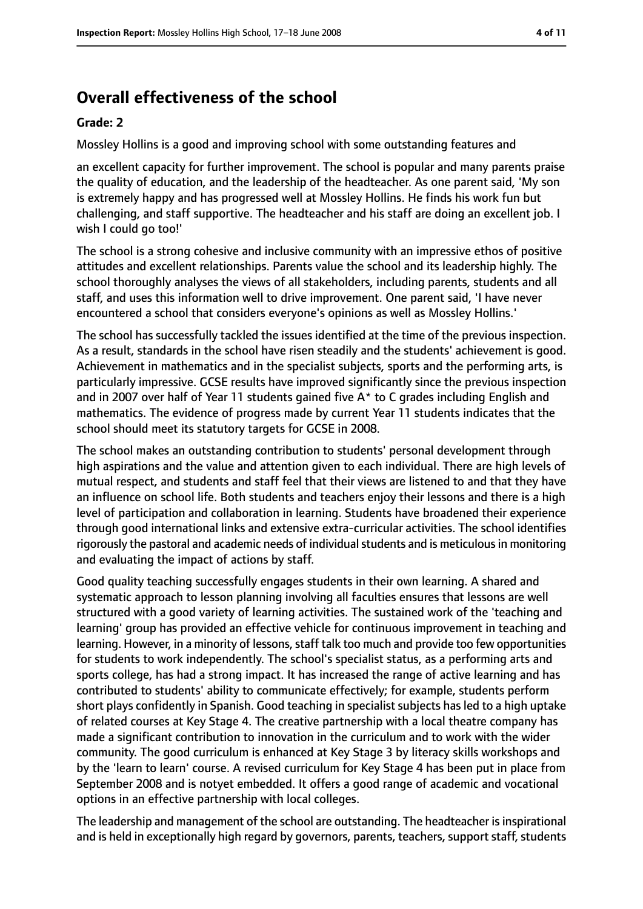# **Overall effectiveness of the school**

#### **Grade: 2**

Mossley Hollins is a good and improving school with some outstanding features and

an excellent capacity for further improvement. The school is popular and many parents praise the quality of education, and the leadership of the headteacher. As one parent said, 'My son is extremely happy and has progressed well at Mossley Hollins. He finds his work fun but challenging, and staff supportive. The headteacher and his staff are doing an excellent job. I wish I could go too!'

The school is a strong cohesive and inclusive community with an impressive ethos of positive attitudes and excellent relationships. Parents value the school and its leadership highly. The school thoroughly analyses the views of all stakeholders, including parents, students and all staff, and uses this information well to drive improvement. One parent said, 'I have never encountered a school that considers everyone's opinions as well as Mossley Hollins.'

The school has successfully tackled the issues identified at the time of the previous inspection. As a result, standards in the school have risen steadily and the students' achievement is good. Achievement in mathematics and in the specialist subjects, sports and the performing arts, is particularly impressive. GCSE results have improved significantly since the previous inspection and in 2007 over half of Year 11 students gained five A\* to C grades including English and mathematics. The evidence of progress made by current Year 11 students indicates that the school should meet its statutory targets for GCSE in 2008.

The school makes an outstanding contribution to students' personal development through high aspirations and the value and attention given to each individual. There are high levels of mutual respect, and students and staff feel that their views are listened to and that they have an influence on school life. Both students and teachers enjoy their lessons and there is a high level of participation and collaboration in learning. Students have broadened their experience through good international links and extensive extra-curricular activities. The school identifies rigorously the pastoral and academic needs of individual students and is meticulous in monitoring and evaluating the impact of actions by staff.

Good quality teaching successfully engages students in their own learning. A shared and systematic approach to lesson planning involving all faculties ensures that lessons are well structured with a good variety of learning activities. The sustained work of the 'teaching and learning' group has provided an effective vehicle for continuous improvement in teaching and learning. However, in a minority of lessons, staff talk too much and provide too few opportunities for students to work independently. The school's specialist status, as a performing arts and sports college, has had a strong impact. It has increased the range of active learning and has contributed to students' ability to communicate effectively; for example, students perform short plays confidently in Spanish. Good teaching in specialist subjects has led to a high uptake of related courses at Key Stage 4. The creative partnership with a local theatre company has made a significant contribution to innovation in the curriculum and to work with the wider community. The good curriculum is enhanced at Key Stage 3 by literacy skills workshops and by the 'learn to learn' course. A revised curriculum for Key Stage 4 has been put in place from September 2008 and is notyet embedded. It offers a good range of academic and vocational options in an effective partnership with local colleges.

The leadership and management of the school are outstanding. The headteacher is inspirational and is held in exceptionally high regard by governors, parents, teachers, support staff, students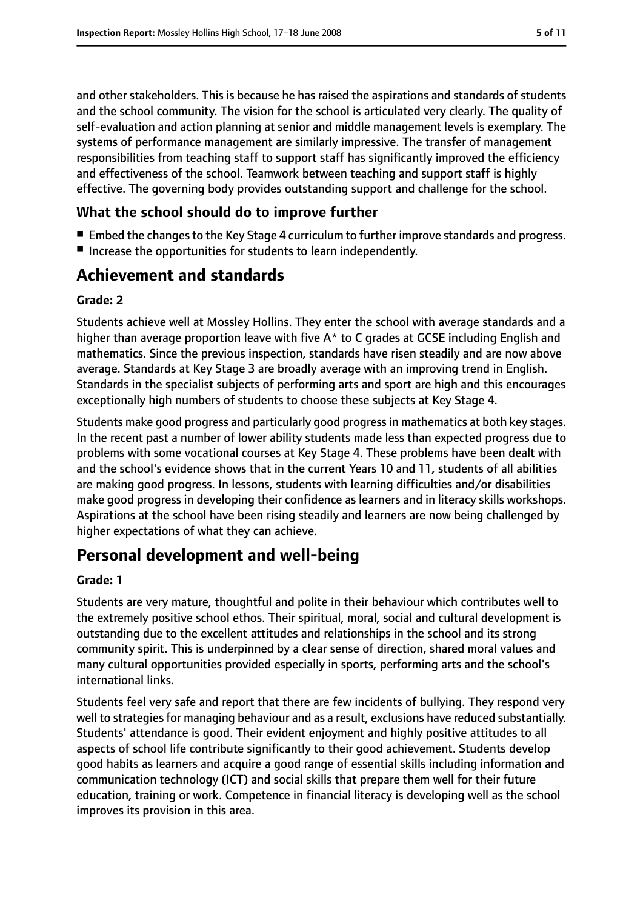and other stakeholders. This is because he has raised the aspirations and standards of students and the school community. The vision for the school is articulated very clearly. The quality of self-evaluation and action planning at senior and middle management levels is exemplary. The systems of performance management are similarly impressive. The transfer of management responsibilities from teaching staff to support staff has significantly improved the efficiency and effectiveness of the school. Teamwork between teaching and support staff is highly effective. The governing body provides outstanding support and challenge for the school.

## **What the school should do to improve further**

- Embed the changes to the Key Stage 4 curriculum to further improve standards and progress.
- Increase the opportunities for students to learn independently.

# **Achievement and standards**

#### **Grade: 2**

Students achieve well at Mossley Hollins. They enter the school with average standards and a higher than average proportion leave with five A\* to C grades at GCSE including English and mathematics. Since the previous inspection, standards have risen steadily and are now above average. Standards at Key Stage 3 are broadly average with an improving trend in English. Standards in the specialist subjects of performing arts and sport are high and this encourages exceptionally high numbers of students to choose these subjects at Key Stage 4.

Students make good progress and particularly good progressin mathematics at both key stages. In the recent past a number of lower ability students made less than expected progress due to problems with some vocational courses at Key Stage 4. These problems have been dealt with and the school's evidence shows that in the current Years 10 and 11, students of all abilities are making good progress. In lessons, students with learning difficulties and/or disabilities make good progress in developing their confidence as learners and in literacy skills workshops. Aspirations at the school have been rising steadily and learners are now being challenged by higher expectations of what they can achieve.

# **Personal development and well-being**

#### **Grade: 1**

Students are very mature, thoughtful and polite in their behaviour which contributes well to the extremely positive school ethos. Their spiritual, moral, social and cultural development is outstanding due to the excellent attitudes and relationships in the school and its strong community spirit. This is underpinned by a clear sense of direction, shared moral values and many cultural opportunities provided especially in sports, performing arts and the school's international links.

Students feel very safe and report that there are few incidents of bullying. They respond very well to strategies for managing behaviour and as a result, exclusions have reduced substantially. Students' attendance is good. Their evident enjoyment and highly positive attitudes to all aspects of school life contribute significantly to their good achievement. Students develop good habits as learners and acquire a good range of essential skills including information and communication technology (ICT) and social skills that prepare them well for their future education, training or work. Competence in financial literacy is developing well as the school improves its provision in this area.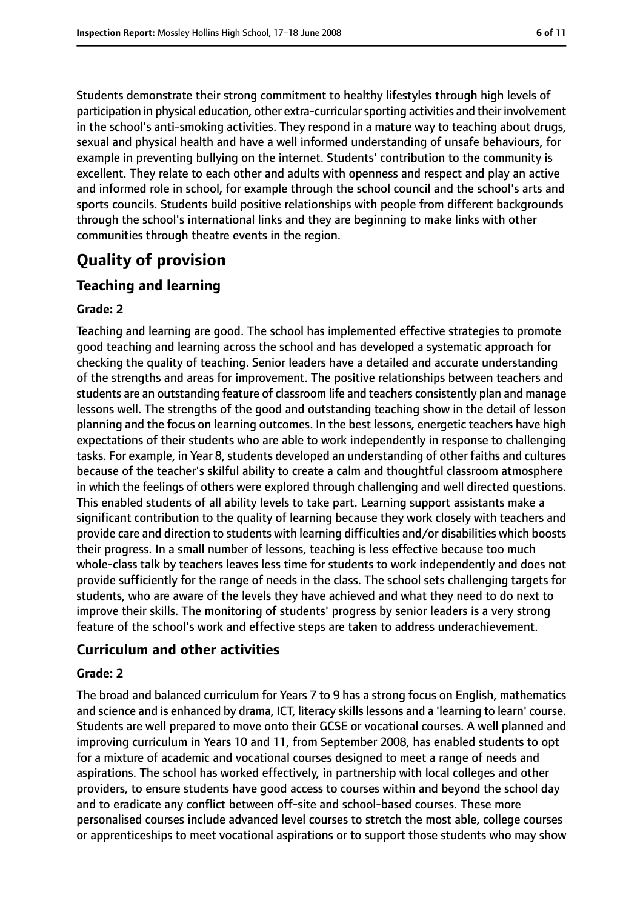Students demonstrate their strong commitment to healthy lifestyles through high levels of participation in physical education, other extra-curricular sporting activities and their involvement in the school's anti-smoking activities. They respond in a mature way to teaching about drugs, sexual and physical health and have a well informed understanding of unsafe behaviours, for example in preventing bullying on the internet. Students' contribution to the community is excellent. They relate to each other and adults with openness and respect and play an active and informed role in school, for example through the school council and the school's arts and sports councils. Students build positive relationships with people from different backgrounds through the school's international links and they are beginning to make links with other communities through theatre events in the region.

# **Quality of provision**

### **Teaching and learning**

#### **Grade: 2**

Teaching and learning are good. The school has implemented effective strategies to promote good teaching and learning across the school and has developed a systematic approach for checking the quality of teaching. Senior leaders have a detailed and accurate understanding of the strengths and areas for improvement. The positive relationships between teachers and students are an outstanding feature of classroom life and teachers consistently plan and manage lessons well. The strengths of the good and outstanding teaching show in the detail of lesson planning and the focus on learning outcomes. In the best lessons, energetic teachers have high expectations of their students who are able to work independently in response to challenging tasks. For example, in Year 8, students developed an understanding of other faiths and cultures because of the teacher's skilful ability to create a calm and thoughtful classroom atmosphere in which the feelings of others were explored through challenging and well directed questions. This enabled students of all ability levels to take part. Learning support assistants make a significant contribution to the quality of learning because they work closely with teachers and provide care and direction to students with learning difficulties and/or disabilities which boosts their progress. In a small number of lessons, teaching is less effective because too much whole-class talk by teachers leaves less time for students to work independently and does not provide sufficiently for the range of needs in the class. The school sets challenging targets for students, who are aware of the levels they have achieved and what they need to do next to improve their skills. The monitoring of students' progress by senior leaders is a very strong feature of the school's work and effective steps are taken to address underachievement.

#### **Curriculum and other activities**

#### **Grade: 2**

The broad and balanced curriculum for Years 7 to 9 has a strong focus on English, mathematics and science and is enhanced by drama, ICT, literacy skills lessons and a 'learning to learn' course. Students are well prepared to move onto their GCSE or vocational courses. A well planned and improving curriculum in Years 10 and 11, from September 2008, has enabled students to opt for a mixture of academic and vocational courses designed to meet a range of needs and aspirations. The school has worked effectively, in partnership with local colleges and other providers, to ensure students have good access to courses within and beyond the school day and to eradicate any conflict between off-site and school-based courses. These more personalised courses include advanced level courses to stretch the most able, college courses or apprenticeships to meet vocational aspirations or to support those students who may show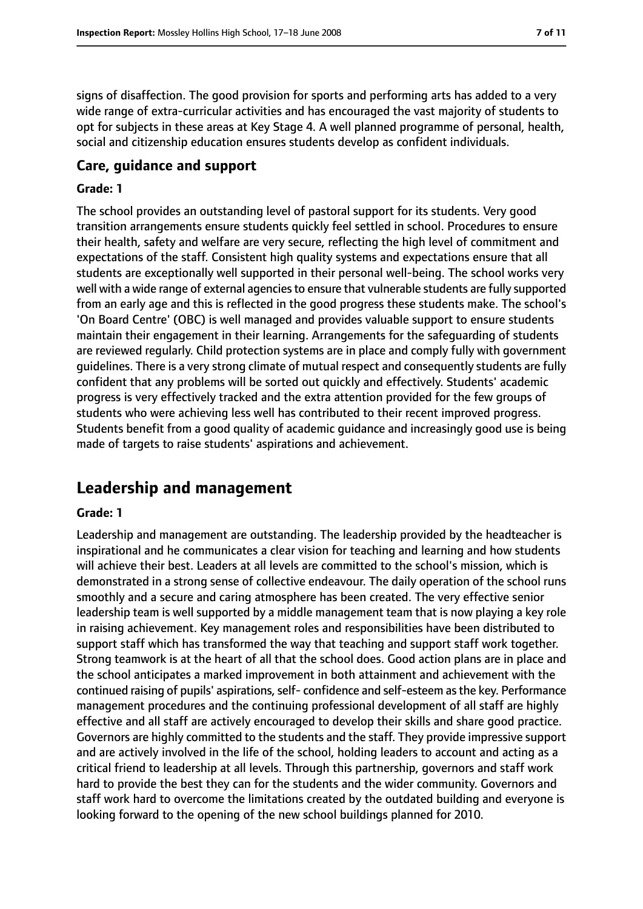signs of disaffection. The good provision for sports and performing arts has added to a very wide range of extra-curricular activities and has encouraged the vast majority of students to opt for subjects in these areas at Key Stage 4. A well planned programme of personal, health, social and citizenship education ensures students develop as confident individuals.

#### **Care, guidance and support**

#### **Grade: 1**

The school provides an outstanding level of pastoral support for its students. Very good transition arrangements ensure students quickly feel settled in school. Procedures to ensure their health, safety and welfare are very secure, reflecting the high level of commitment and expectations of the staff. Consistent high quality systems and expectations ensure that all students are exceptionally well supported in their personal well-being. The school works very well with a wide range of external agencies to ensure that vulnerable students are fully supported from an early age and this is reflected in the good progress these students make. The school's 'On Board Centre' (OBC) is well managed and provides valuable support to ensure students maintain their engagement in their learning. Arrangements for the safeguarding of students are reviewed regularly. Child protection systems are in place and comply fully with government guidelines. There is a very strong climate of mutual respect and consequently students are fully confident that any problems will be sorted out quickly and effectively. Students' academic progress is very effectively tracked and the extra attention provided for the few groups of students who were achieving less well has contributed to their recent improved progress. Students benefit from a good quality of academic guidance and increasingly good use is being made of targets to raise students' aspirations and achievement.

# **Leadership and management**

#### **Grade: 1**

Leadership and management are outstanding. The leadership provided by the headteacher is inspirational and he communicates a clear vision for teaching and learning and how students will achieve their best. Leaders at all levels are committed to the school's mission, which is demonstrated in a strong sense of collective endeavour. The daily operation of the school runs smoothly and a secure and caring atmosphere has been created. The very effective senior leadership team is well supported by a middle management team that is now playing a key role in raising achievement. Key management roles and responsibilities have been distributed to support staff which has transformed the way that teaching and support staff work together. Strong teamwork is at the heart of all that the school does. Good action plans are in place and the school anticipates a marked improvement in both attainment and achievement with the continued raising of pupils' aspirations, self- confidence and self-esteem as the key. Performance management procedures and the continuing professional development of all staff are highly effective and all staff are actively encouraged to develop their skills and share good practice. Governors are highly committed to the students and the staff. They provide impressive support and are actively involved in the life of the school, holding leaders to account and acting as a critical friend to leadership at all levels. Through this partnership, governors and staff work hard to provide the best they can for the students and the wider community. Governors and staff work hard to overcome the limitations created by the outdated building and everyone is looking forward to the opening of the new school buildings planned for 2010.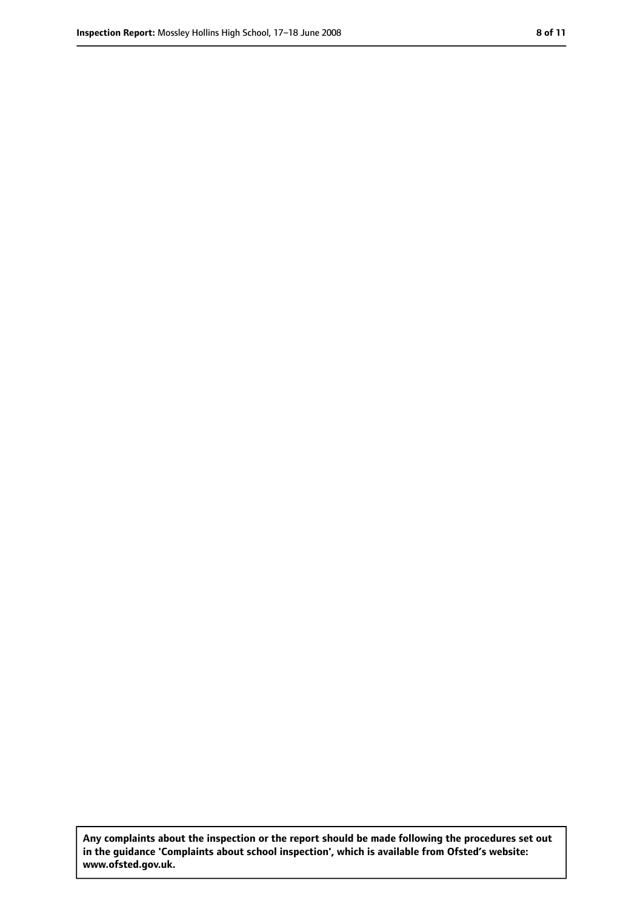**Any complaints about the inspection or the report should be made following the procedures set out in the guidance 'Complaints about school inspection', which is available from Ofsted's website: www.ofsted.gov.uk.**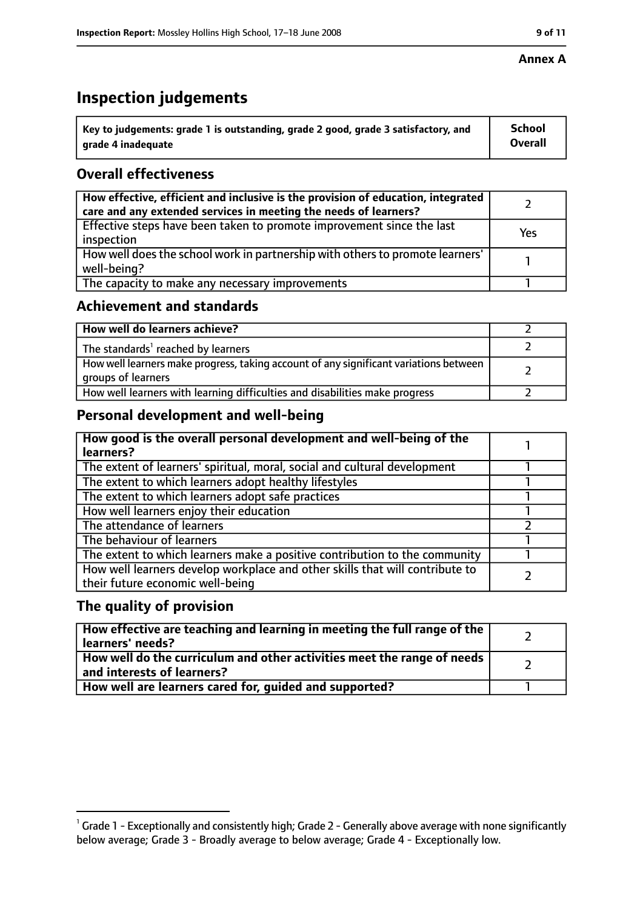#### **Annex A**

# **Inspection judgements**

| $^{\circ}$ Key to judgements: grade 1 is outstanding, grade 2 good, grade 3 satisfactory, and | <b>School</b>  |
|-----------------------------------------------------------------------------------------------|----------------|
| arade 4 inadequate                                                                            | <b>Overall</b> |

## **Overall effectiveness**

| How effective, efficient and inclusive is the provision of education, integrated<br>care and any extended services in meeting the needs of learners? |     |
|------------------------------------------------------------------------------------------------------------------------------------------------------|-----|
| Effective steps have been taken to promote improvement since the last<br>inspection                                                                  | Yes |
| How well does the school work in partnership with others to promote learners'<br>well-being?                                                         |     |
| The capacity to make any necessary improvements                                                                                                      |     |

## **Achievement and standards**

| How well do learners achieve?                                                                               |  |
|-------------------------------------------------------------------------------------------------------------|--|
| The standards <sup>1</sup> reached by learners                                                              |  |
| How well learners make progress, taking account of any significant variations between<br>groups of learners |  |
| How well learners with learning difficulties and disabilities make progress                                 |  |

# **Personal development and well-being**

| How good is the overall personal development and well-being of the<br>learners?                                  |  |
|------------------------------------------------------------------------------------------------------------------|--|
| The extent of learners' spiritual, moral, social and cultural development                                        |  |
| The extent to which learners adopt healthy lifestyles                                                            |  |
| The extent to which learners adopt safe practices                                                                |  |
| How well learners enjoy their education                                                                          |  |
| The attendance of learners                                                                                       |  |
| The behaviour of learners                                                                                        |  |
| The extent to which learners make a positive contribution to the community                                       |  |
| How well learners develop workplace and other skills that will contribute to<br>their future economic well-being |  |

## **The quality of provision**

| How effective are teaching and learning in meeting the full range of the<br>learners' needs?            |  |
|---------------------------------------------------------------------------------------------------------|--|
| How well do the curriculum and other activities meet the range of needs  <br>and interests of learners? |  |
| How well are learners cared for, guided and supported?                                                  |  |

 $^1$  Grade 1 - Exceptionally and consistently high; Grade 2 - Generally above average with none significantly below average; Grade 3 - Broadly average to below average; Grade 4 - Exceptionally low.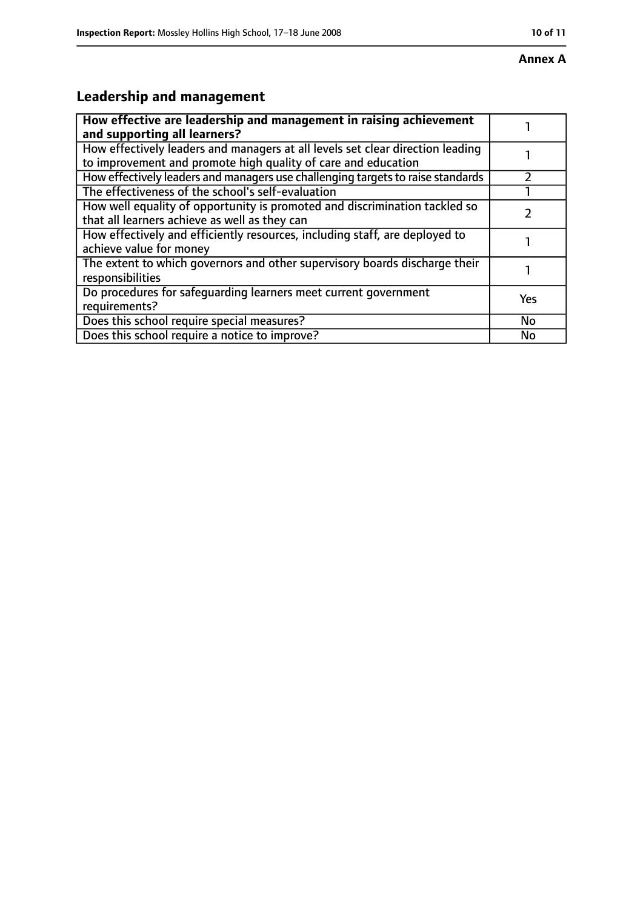# **Leadership and management**

| How effective are leadership and management in raising achievement<br>and supporting all learners?                                              |           |
|-------------------------------------------------------------------------------------------------------------------------------------------------|-----------|
| How effectively leaders and managers at all levels set clear direction leading<br>to improvement and promote high quality of care and education |           |
| How effectively leaders and managers use challenging targets to raise standards                                                                 |           |
| The effectiveness of the school's self-evaluation                                                                                               |           |
| How well equality of opportunity is promoted and discrimination tackled so<br>that all learners achieve as well as they can                     |           |
| How effectively and efficiently resources, including staff, are deployed to<br>achieve value for money                                          |           |
| The extent to which governors and other supervisory boards discharge their<br>responsibilities                                                  |           |
| Do procedures for safequarding learners meet current government<br>requirements?                                                                | Yes       |
| Does this school require special measures?                                                                                                      | <b>No</b> |
| Does this school require a notice to improve?                                                                                                   | No        |